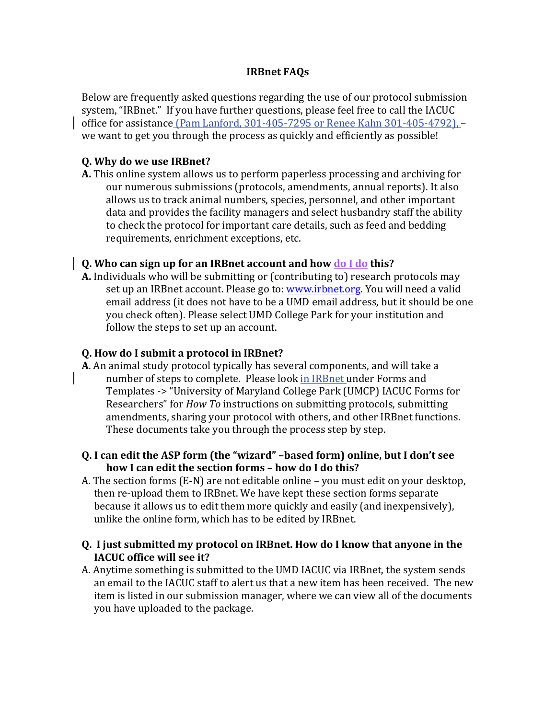### **IRBnet FAQs**

Below are frequently asked questions regarding the use of our protocol submission system, "IRBnet." If you have further questions, please feel free to call the IACUC office for assistance (Pam Lanford,  $301-405-7295$  or Renee Kahn  $301-405-4792$ ),  $$ we want to get you through the process as quickly and efficiently as possible!

# **Q. Why do we use IRBnet?**

**A.** This online system allows us to perform paperless processing and archiving for our numerous submissions (protocols, amendments, annual reports). It also allows us to track animal numbers, species, personnel, and other important data and provides the facility managers and select husbandry staff the ability to check the protocol for important care details, such as feed and bedding requirements, enrichment exceptions, etc.

### **l** 0. Who can sign up for an IRBnet account and how do I do this?

**A.** Individuals who will be submitting or (contributing to) research protocols may set up an IRBnet account. Please go to: www.irbnet.org. You will need a valid email address (it does not have to be a UMD email address, but it should be one you check often). Please select UMD College Park for your institution and follow the steps to set up an account.

### **Q. How do I submit a protocol in IRBnet?**

**A**. An animal study protocol typically has several components, and will take a number of steps to complete. Please look in IRBnet under Forms and Templates -> "University of Maryland College Park (UMCP) IACUC Forms for Researchers" for *How To* instructions on submitting protocols, submitting amendments, sharing your protocol with others, and other IRBnet functions. These documents take you through the process step by step.

### **Q.** I can edit the ASP form (the "wizard" -based form) online, but I don't see how I can edit the section forms - how do I do this?

A. The section forms  $(E-N)$  are not editable online – you must edit on your desktop, then re-upload them to IRBnet. We have kept these section forms separate because it allows us to edit them more quickly and easily (and inexpensively), unlike the online form, which has to be edited by IRBnet.

# **Q.** I just submitted my protocol on IRBnet. How do I know that anyone in the **IACUC** office will see it?

A. Anytime something is submitted to the UMD IACUC via IRBnet, the system sends an email to the IACUC staff to alert us that a new item has been received. The new item is listed in our submission manager, where we can view all of the documents you have uploaded to the package.